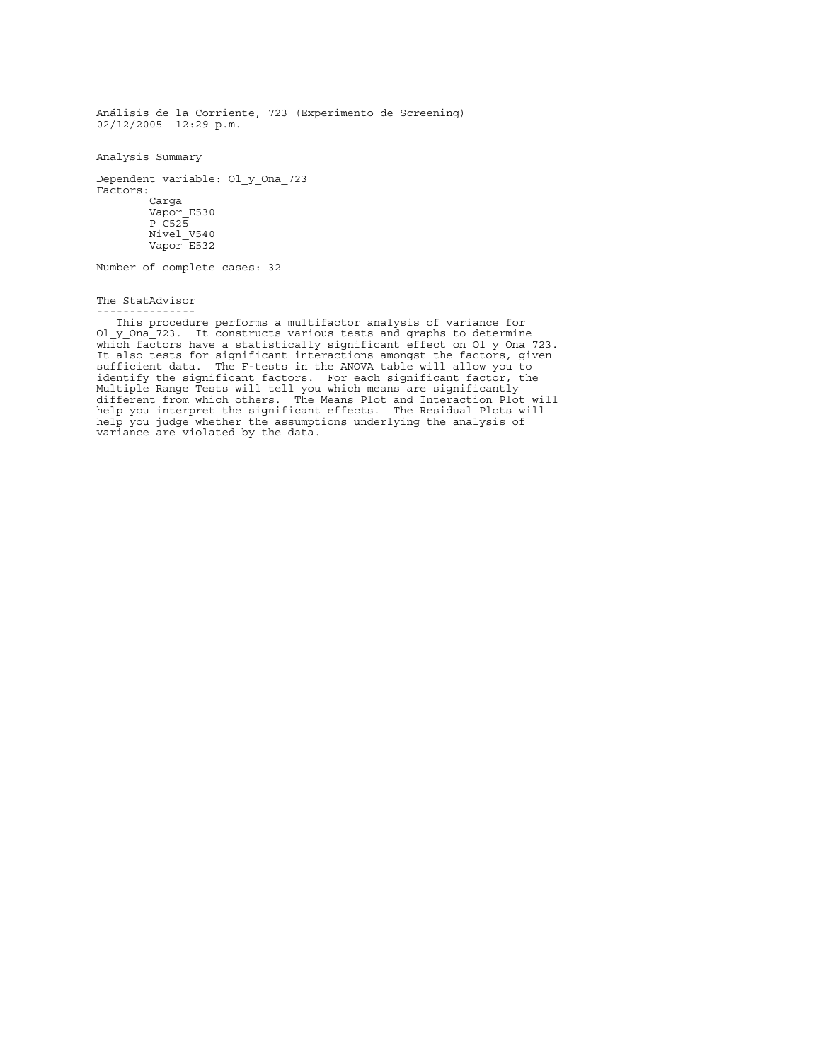Análisis de la Corriente, 723 (Experimento de Screening) 02/12/2005 12:29 p.m.

Analysis Summary

Dependent variable: Ol\_y\_Ona\_723 Factors: Carga Vapor E530 P\_C525 Nivel\_V540 Vapor E532

Number of complete cases: 32

The StatAdvisor

---------------

 This procedure performs a multifactor analysis of variance for Ol y Ona 723. It constructs various tests and graphs to determine which factors have a statistically significant effect on Ol y Ona 723. It also tests for significant interactions amongst the factors, given sufficient data. The F-tests in the ANOVA table will allow you to identify the significant factors. For each significant factor, the Multiple Range Tests will tell you which means are significantly different from which others. The Means Plot and Interaction Plot will help you interpret the significant effects. The Residual Plots will help you judge whether the assumptions underlying the analysis of variance are violated by the data.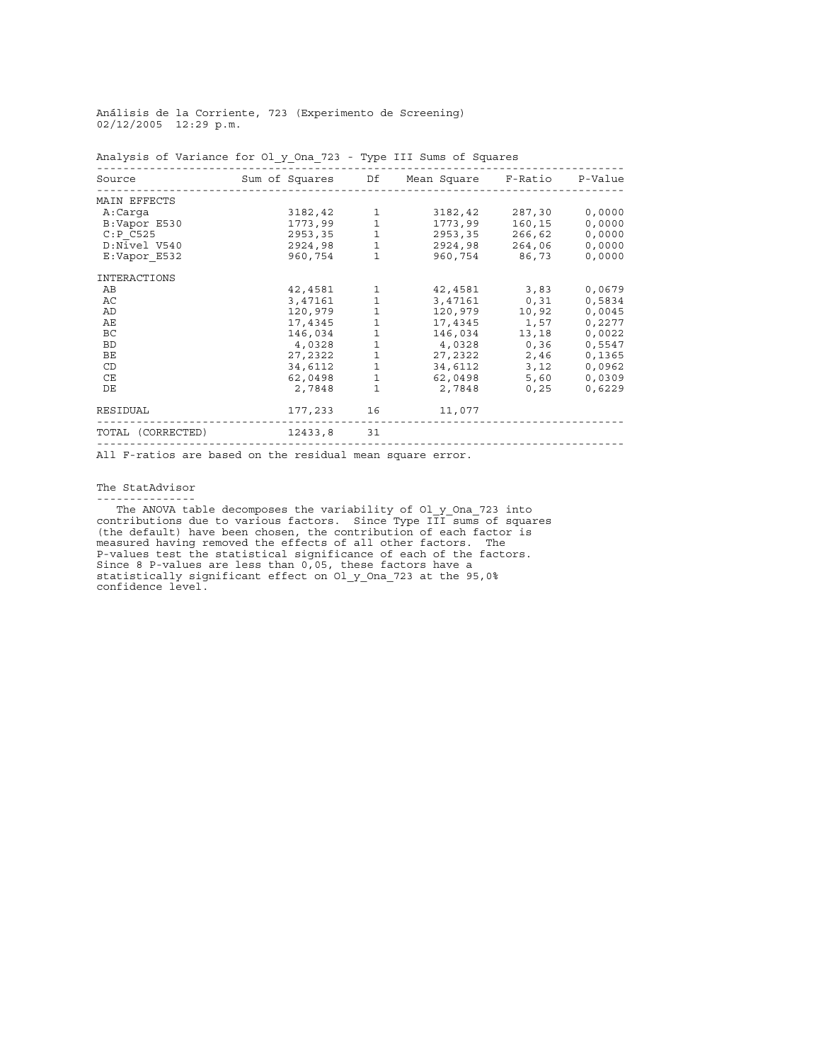Análisis de la Corriente, 723 (Experimento de Screening) 02/12/2005 12:29 p.m.

| Source              | Sum of Squares |         | Df           | Mean Square | F-Ratio | P-Value |
|---------------------|----------------|---------|--------------|-------------|---------|---------|
| MAIN EFFECTS        |                |         |              |             |         |         |
| A:Carga             |                | 3182,42 | 1            | 3182,42     | 287,30  | 0,0000  |
| B:Vapor E530        |                | 1773,99 | 1            | 1773,99     | 160,15  | 0,0000  |
| C: P C525           |                | 2953,35 | $\mathbf{1}$ | 2953,35     | 266,62  | 0,0000  |
| D:Nivel V540        |                | 2924,98 | 1            | 2924,98     | 264,06  | 0,0000  |
| E:Vapor E532        |                | 960,754 | $\mathbf{1}$ | 960,754     | 86,73   | 0,0000  |
| <b>INTERACTIONS</b> |                |         |              |             |         |         |
| AB                  |                | 42,4581 | 1            | 42,4581     | 3,83    | 0,0679  |
| AC                  |                | 3,47161 | 1            | 3,47161     | 0, 31   | 0,5834  |
| AD                  |                | 120,979 | $\mathbf{1}$ | 120,979     | 10,92   | 0,0045  |
| AЕ                  |                | 17,4345 | 1            | 17,4345     | 1,57    | 0,2277  |
| <b>BC</b>           |                | 146,034 | 1            | 146,034     | 13,18   | 0,0022  |
| <b>BD</b>           |                | 4,0328  | 1            | 4,0328      | 0,36    | 0,5547  |
| BE                  |                | 27,2322 | $\mathbf{1}$ | 27,2322     | 2,46    | 0,1365  |
| CD                  |                | 34,6112 | 1            | 34,6112     | 3,12    | 0,0962  |
| CE                  |                | 62,0498 | $\mathbf{1}$ | 62,0498     | 5,60    | 0,0309  |
| DE                  |                | 2,7848  | $\mathbf{1}$ | 2,7848      | 0, 25   | 0,6229  |
| <b>RESIDUAL</b>     |                | 177,233 | 16           | 11,077      |         |         |
| TOTAL (CORRECTED)   |                | 12433,8 | 31           |             |         |         |
|                     |                |         |              |             |         |         |

Analysis of Variance for Ol\_y\_Ona\_723 - Type III Sums of Squares

All F-ratios are based on the residual mean square error.

## The StatAdvisor ---------------

The ANOVA table decomposes the variability of Ol y Ona 723 into contributions due to various factors. Since Type III sums of squares (the default) have been chosen, the contribution of each factor is measured having removed the effects of all other factors. The P-values test the statistical significance of each of the factors. Since 8 P-values are less than 0,05, these factors have a statistically significant effect on Ol\_y\_Ona\_723 at the 95,0% confidence level.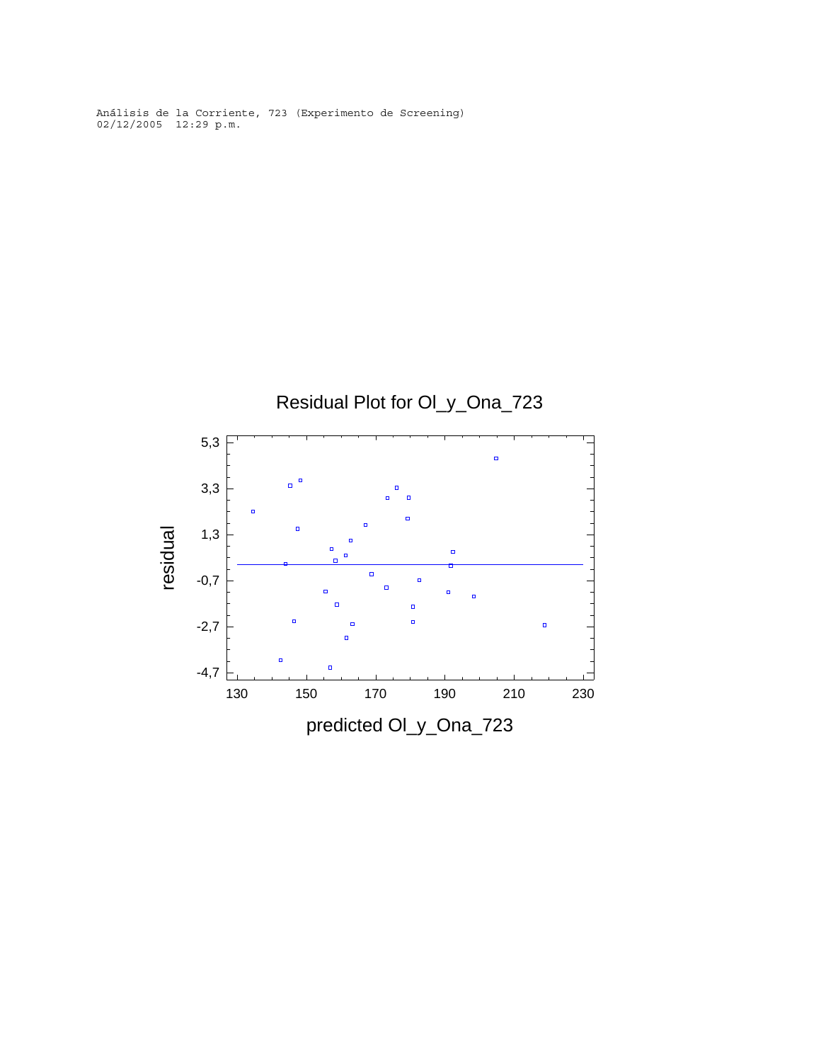Análisis de la Corriente, 723 (Experimento de Screening) 02/12/2005 12:29 p.m.